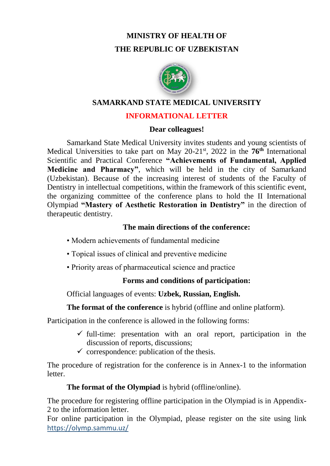# **MINISTRY OF HEALTH OF THE REPUBLIC OF UZBEKISTAN**



## **SAMARKAND STATE MEDICAL UNIVERSITY**

# **INFORMATIONAL LETTER**

#### **Dear colleagues!**

Samarkand State Medical University invites students and young scientists of Medical Universities to take part on May 20-21st, 2022 in the **76th** International Scientific and Practical Conference **"Achievements of Fundamental, Applied Medicine and Pharmacy"**, which will be held in the city of Samarkand (Uzbekistan). Because of the increasing interest of students of the Faculty of Dentistry in intellectual competitions, within the framework of this scientific event, the organizing committee of the conference plans to hold the II International Olympiad **"Mastery of Aesthetic Restoration in Dentistry"** in the direction of therapeutic dentistry.

# **The main directions of the conference:**

- Modern achievements of fundamental medicine
- Topical issues of clinical and preventive medicine
- Priority areas of pharmaceutical science and practice

# **Forms and conditions of participation:**

Official languages of events: **Uzbek, Russian, English.**

**The format of the conference** is hybrid (offline and online platform).

Participation in the conference is allowed in the following forms:

- $\checkmark$  full-time: presentation with an oral report, participation in the discussion of reports, discussions;
- $\checkmark$  correspondence: publication of the thesis.

The procedure of registration for the conference is in Annex-1 to the information **letter** 

# **The format of the Olympiad** is hybrid (offline/online).

The procedure for registering offline participation in the Olympiad is in Appendix-2 to the information letter.

For online participation in the Olympiad, please register on the site using link https://olymp.sammu.uz/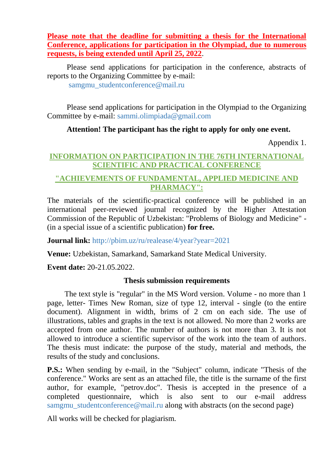**Please note that the deadline for submitting a thesis for the International Conference, applications for participation in the Olympiad, due to numerous requests, is being extended until April 25, 2022**.

Please send applications for participation in the conference, abstracts of reports to the Organizing Committee by e-mail: samgmu\_studentconference@mail.ru

Please send applications for participation in the Olympiad to the Organizing Committee by e-mail: sammi.olimpiada@gmail.com

# **Attention! The participant has the right to apply for only one event.**

Appendix 1.

# **INFORMATION ON PARTICIPATION IN THE 76TH INTERNATIONAL SCIENTIFIC AND PRACTICAL CONFERENCE**

# **"ACHIEVEMENTS OF FUNDAMENTAL, APPLIED MEDICINE AND PHARMACY":**

The materials of the scientific-practical conference will be published in an international peer-reviewed journal recognized by the Higher Attestation Commission of the Republic of Uzbekistan: "Problems of Biology and Medicine" - (in a special issue of a scientific publication) **for free.**

**Journal link:** http://pbim.uz/ru/realease/4/year?year=2021

**Venue:** Uzbekistan, Samarkand, Samarkand State Medical University.

**Event date:** 20-21.05.2022.

## **Thesis submission requirements**

 The text style is "regular" in the MS Word version. Volume - no more than 1 page, letter- Times New Roman, size of type 12, interval - single (to the entire document). Alignment in width, brims of 2 cm on each side. The use of illustrations, tables and graphs in the text is not allowed. No more than 2 works are accepted from one author. The number of authors is not more than 3. It is not allowed to introduce a scientific supervisor of the work into the team of authors. The thesis must indicate: the purpose of the study, material and methods, the results of the study and conclusions.

**P.S.:** When sending by e-mail, in the "Subject" column, indicate "Thesis of the conference." Works are sent as an attached file, the title is the surname of the first author, for example, "petrov.doc". Thesis is accepted in the presence of a completed questionnaire, which is also sent to our e-mail address samgmu\_studentconference@mail.ru along with abstracts (on the second page)

All works will be checked for plagiarism.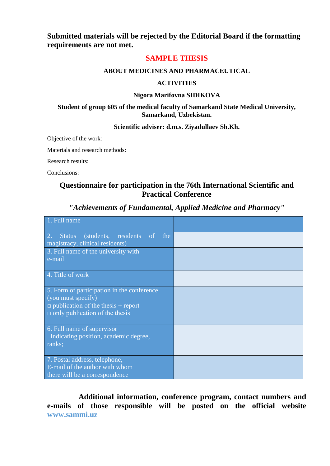**Submitted materials will be rejected by the Editorial Board if the formatting requirements are not met.**

#### **SAMPLE THESIS**

#### **ABOUT MEDICINES AND PHARMACEUTICAL**

#### **ACTIVITIES**

#### **Nigora Marifovna SIDIKOVA**

#### **Student of group 605 of the medical faculty of Samarkand State Medical University, Samarkand, Uzbekistan.**

#### **Scientific adviser: d.m.s. Ziyadullaev Sh.Kh.**

Objective of the work:

Materials and research methods:

Research results:

Conclusions:

#### **Questionnaire for participation in the 76th International Scientific and Practical Conference**

#### *"Achievements of Fundamental, Applied Medicine and Pharmacy"*

| 1. Full name                                                                                                                                           |  |
|--------------------------------------------------------------------------------------------------------------------------------------------------------|--|
| 2.<br>(students, residents of the<br><b>Status</b><br>magistracy, clinical residents)                                                                  |  |
| 3. Full name of the university with<br>e-mail                                                                                                          |  |
| 4. Title of work                                                                                                                                       |  |
| 5. Form of participation in the conference<br>(you must specify)<br>$\Box$ publication of the thesis + report<br>$\Box$ only publication of the thesis |  |
| 6. Full name of supervisor<br>Indicating position, academic degree,<br>ranks;                                                                          |  |
| 7. Postal address, telephone,<br>E-mail of the author with whom<br>there will be a correspondence                                                      |  |

**Additional information, conference program, contact numbers and e-mails of those responsible will be posted on the official website www.sammi.uz**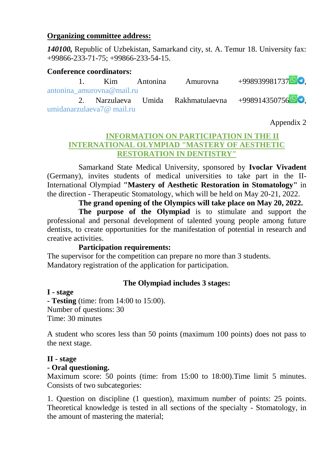## **Organizing committee address:**

*140100,* Republic of Uzbekistan, Samarkand city, st. A. Temur 18. University fax: +99866-233-71-75; +99866-233-54-15.

## **Conference coordinators:**

|                           |  |  | 1. Kim Antonina Amurovna | $+998939981737$                                    |  |
|---------------------------|--|--|--------------------------|----------------------------------------------------|--|
| antonina amurovna@mail.ru |  |  |                          |                                                    |  |
|                           |  |  |                          | 2. Narzulaeva Umida Rakhmatulaevna +99891435075690 |  |
| umidanarzulaeva7@ mail.ru |  |  |                          |                                                    |  |

Appendix 2

# **INFORMATION ON PARTICIPATION IN THE II INTERNATIONAL OLYMPIAD "MASTERY OF AESTHETIC RESTORATION IN DENTISTRY"**

Samarkand State Medical University, sponsored by **Ivoclar Vivadent** (Germany), invites students of medical universities to take part in the II-International Olympiad **"Mastery of Aesthetic Restoration in Stomatology"** in the direction - Therapeutic Stomatology, which will be held on May 20-21, 2022.

**The grand opening of the Olympics will take place on May 20, 2022.**

**The purpose of the Olympiad** is to stimulate and support the professional and personal development of talented young people among future dentists, to create opportunities for the manifestation of potential in research and creative activities.

## **Participation requirements:**

The supervisor for the competition can prepare no more than 3 students. Mandatory registration of the application for participation.

# **The Olympiad includes 3 stages:**

**I - stage**

**- Testing** (time: from 14:00 to 15:00). Number of questions: 30 Time: 30 minutes

A student who scores less than 50 points (maximum 100 points) does not pass to the next stage.

## **II - stage**

# **- Oral questioning.**

Maximum score: 50 points (time: from 15:00 to 18:00).Time limit 5 minutes. Consists of two subcategories:

1. Question on discipline (1 question), maximum number of points: 25 points. Theoretical knowledge is tested in all sections of the specialty - Stomatology, in the amount of mastering the material;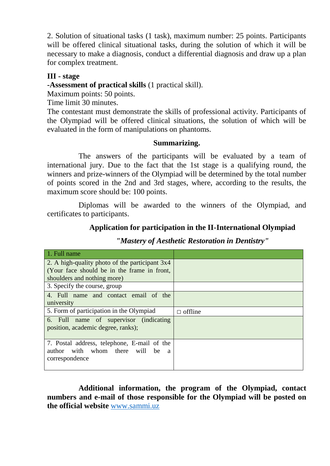2. Solution of situational tasks (1 task), maximum number: 25 points. Participants will be offered clinical situational tasks, during the solution of which it will be necessary to make a diagnosis, conduct a differential diagnosis and draw up a plan for complex treatment.

# **III - stage**

**-Assessment of practical skills** (1 practical skill).

Maximum points: 50 points.

Time limit 30 minutes.

The contestant must demonstrate the skills of professional activity. Participants of the Olympiad will be offered clinical situations, the solution of which will be evaluated in the form of manipulations on phantoms.

## **Summarizing.**

The answers of the participants will be evaluated by a team of international jury. Due to the fact that the 1st stage is a qualifying round, the winners and prize-winners of the Olympiad will be determined by the total number of points scored in the 2nd and 3rd stages, where, according to the results, the maximum score should be: 100 points.

Diplomas will be awarded to the winners of the Olympiad, and certificates to participants.

# **Application for participation in the II-International Olympiad**

| 1. Full name                                                                                               |                |
|------------------------------------------------------------------------------------------------------------|----------------|
| 2. A high-quality photo of the participant 3x4                                                             |                |
| (Your face should be in the frame in front,                                                                |                |
| shoulders and nothing more)                                                                                |                |
| 3. Specify the course, group                                                                               |                |
| 4. Full name and contact email of the                                                                      |                |
| university                                                                                                 |                |
| 5. Form of participation in the Olympiad                                                                   | $\Box$ offline |
| 6. Full name of supervisor (indicating<br>position, academic degree, ranks);                               |                |
| 7. Postal address, telephone, E-mail of the<br>author with whom there<br>will<br>be<br>a<br>correspondence |                |

*"Mastery of Aesthetic Restoration in Dentistry"*

**Additional information, the program of the Olympiad, contact numbers and e-mail of those responsible for the Olympiad will be posted on the official website** [www.sammi.uz](http://www.sammi.uz/)